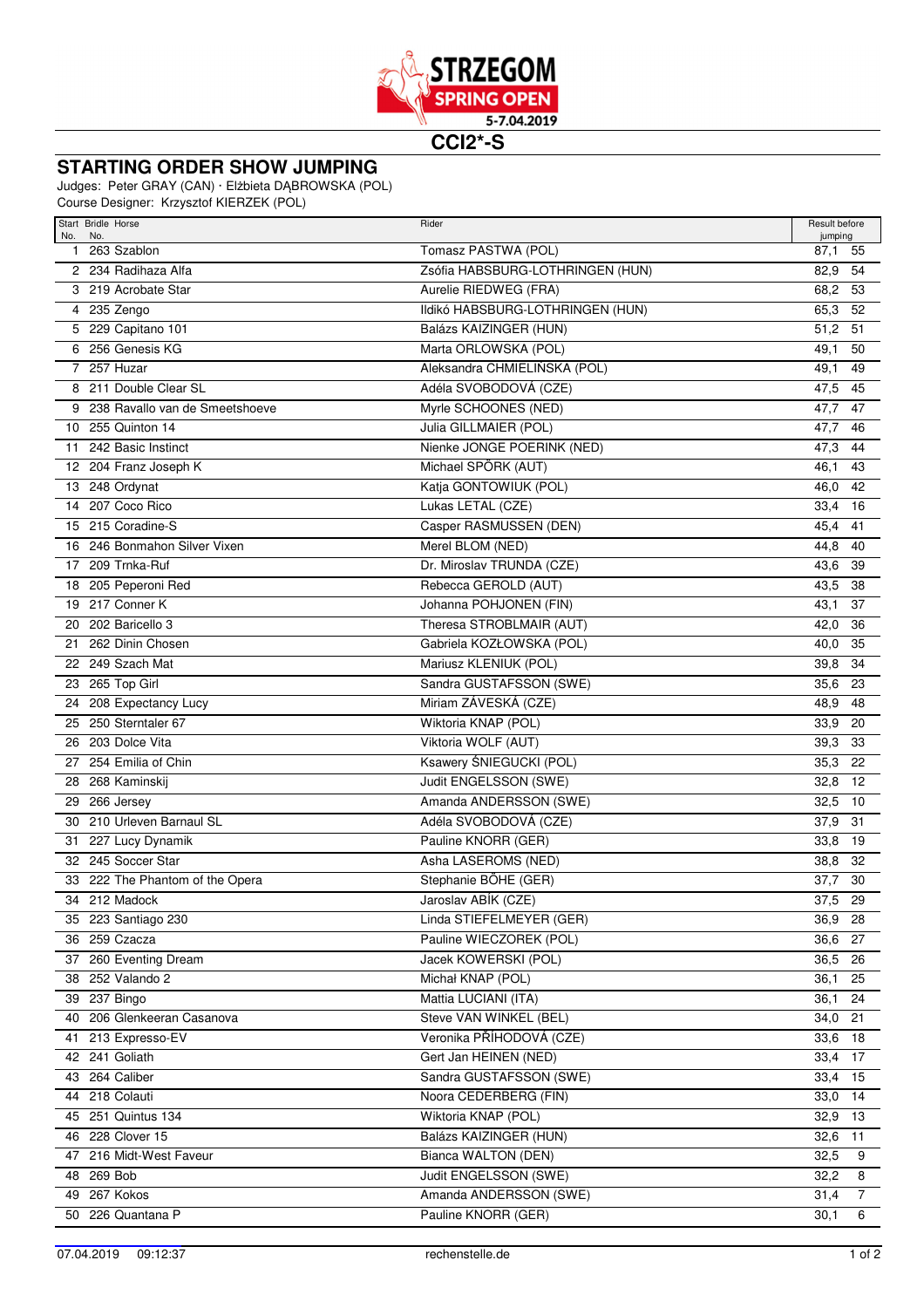

**CCI2\*-S**

## **STARTING ORDER SHOW JUMPING**

Judges: Peter GRAY (CAN) · Elżbieta DĄBROWSKA (POL)

Course Designer: Krzysztof KIERZEK (POL)

| Start Bridle Horse<br>No.<br>No.   | Rider                            | Result before<br>jumping |
|------------------------------------|----------------------------------|--------------------------|
| 1 263 Szablon                      | Tomasz PASTWA (POL)              | 87,1<br>55               |
| 2 234 Radihaza Alfa                | Zsófia HABSBURG-LOTHRINGEN (HUN) | 82,9<br>54               |
| 3 219 Acrobate Star                | Aurelie RIEDWEG (FRA)            | 68,2<br>53               |
| 4 235 Zengo                        | Ildikó HABSBURG-LOTHRINGEN (HUN) | 65,3<br>52               |
| 5 229 Capitano 101                 | Balázs KAIZINGER (HUN)           | 51,2<br>51               |
| 256 Genesis KG<br>6                | Marta ORLOWSKA (POL)             | 49,1<br>50               |
| 7 257 Huzar                        | Aleksandra CHMIELIŃSKA (POL)     | 49,1<br>49               |
| 8 211 Double Clear SL              | Adéla SVOBODOVÁ (CZE)            | 47,5<br>45               |
| 9 238 Ravallo van de Smeetshoeve   | Myrle SCHOONES (NED)             | 47,7<br>47               |
| 10 255 Quinton 14                  | Julia GILLMAIER (POL)            | 47,7<br>46               |
| 242 Basic Instinct<br>11           | Nienke JONGE POERINK (NED)       | 47,3<br>44               |
| 12 204 Franz Joseph K              | Michael SPÖRK (AUT)              | 46,1<br>43               |
| 13 248 Ordynat                     | Katja GONTOWIUK (POL)            | 42<br>46,0               |
| 14 207 Coco Rico                   | Lukas LETAL (CZE)                | 33,4<br>16               |
| 215 Coradine-S<br>15               | Casper RASMUSSEN (DEN)           | 45,4<br>41               |
| 16 246 Bonmahon Silver Vixen       | Merel BLOM (NED)                 | 44,8<br>40               |
| 17 209 Trnka-Ruf                   | Dr. Miroslav TRUNDA (CZE)        | 43,6<br>39               |
| 18 205 Peperoni Red                | Rebecca GEROLD (AUT)             | 43,5<br>38               |
| 19 217 Conner K                    | Johanna POHJONEN (FIN)           | 43,1<br>37               |
| 202 Baricello 3<br>20              | Theresa STROBLMAIR (AUT)         | 42,0<br>36               |
| 262 Dinin Chosen<br>21             | Gabriela KOZŁOWSKA (POL)         | 40,0<br>35               |
| 22 249 Szach Mat                   | Mariusz KLENIUK (POL)            | 39,8<br>34               |
| 23 265 Top Girl                    | Sandra GUSTAFSSON (SWE)          | 35,6<br>23               |
| 208 Expectancy Lucy<br>24          | Miriam ZÁVESKÁ (CZE)             | 48,9<br>48               |
| 250 Sterntaler 67<br>25            | Wiktoria KNAP (POL)              | 33,9<br>20               |
| 203 Dolce Vita<br>26               | Viktoria WOLF (AUT)              | 39,3<br>33               |
| 27 254 Emilia of Chin              | Ksawery ŚNIEGUCKI (POL)          | 35,3<br>22               |
| 268 Kaminskij<br>28                | Judit ENGELSSON (SWE)            | 12<br>32,8               |
| 29 266 Jersey                      | Amanda ANDERSSON (SWE)           | 32,5<br>10               |
| 210 Urleven Barnaul SL<br>30       | Adéla SVOBODOVÁ (CZE)            | 37,9<br>31               |
| 31 227 Lucy Dynamik                | Pauline KNORR (GER)              | 33,8<br>19               |
| 32 245 Soccer Star                 | Asha LASEROMS (NED)              | 38,8<br>32               |
| 222 The Phantom of the Opera<br>33 | Stephanie BÖHE (GER)             | 37,7<br>30               |
| 34 212 Madock                      | Jaroslav ABÍK (CZE)              | 37,5<br>29               |
| 35 223 Santiago 230                | Linda STIEFELMEYER (GER)         | 36,9 28                  |
| 36 259 Czacza                      | Pauline WIECZOREK (POL)          | 36,6 27                  |
| 37 260 Eventing Dream              | Jacek KOWERSKI (POL)             | 36,5 26                  |
| 38 252 Valando 2                   | Michał KNAP (POL)                | 36,1<br>25               |
| 39 237 Bingo                       | Mattia LUCIANI (ITA)             | 36,1<br>24               |
| 40 206 Glenkeeran Casanova         | Steve VAN WINKEL (BEL)           | 34,0 21                  |
| 41 213 Expresso-EV                 | Veronika PŘÍHODOVÁ (CZE)         | 33,6 18                  |
| 42 241 Goliath                     | Gert Jan HEINEN (NED)            | 33,4 17                  |
| 43 264 Caliber                     | Sandra GUSTAFSSON (SWE)          | 33,4 15                  |
| 44 218 Colauti                     | Noora CEDERBERG (FIN)            | 33,0 14                  |
| 45 251 Quintus 134                 | Wiktoria KNAP (POL)              | 32,9 13                  |
| 46 228 Clover 15                   | Balázs KAIZINGER (HUN)           | 32,6 11                  |
| 47 216 Midt-West Faveur            | Bianca WALTON (DEN)              | 32,5<br>9                |
| 48 269 Bob                         | Judit ENGELSSON (SWE)            | 32,2<br>8                |
| 49 267 Kokos                       | Amanda ANDERSSON (SWE)           | $\overline{7}$<br>31,4   |
| 50 226 Quantana P                  | Pauline KNORR (GER)              | 30,1<br>6                |